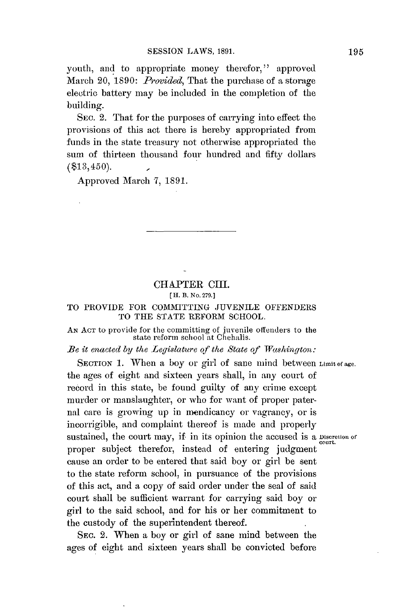youth, and to appropriate money therefor," approved March 20, *1890: Provided,* That the purchase of **a** storage electric battery may be included in the completion of the building.

**SEC.** 2. That for the purposes of carrying into effect the provisions of this act there is hereby appropriated from funds in the state treasury not otherwise appropriated the sum of thirteen thousand **four** hundred and **fifty** dollars  $($ \$13,450).

Approved March **7, 1891.**

# CHAPTER CIII. **[** H. B. No. **279.]**

# TO PROVIDE FOR COMMITTING **JUVENILE OFFENDERS** TO THE **STATE** REFORM **SCHOOL.**

#### **AN ACT** to provide for the committing of juvenile offenders to the state reform school at Chehalis.

# *Be it enacted by the Legislature of the State of Washington:*

SECTION 1. When a boy or girl of sane mind between Limit of age. the ages of eight and sixteen years shall, in any court of record in this state, be found guilty of any crime except murder or manslaughter, or who for want of proper paternal care is growing up in mendicancy or vagrancy, or is incorrigible, and complaint thereof is made and properly sustained, the court may, if in its opinion the accused is a Discretion of proper subject therefor, instead of entering judgment cause an order to be entered that said boy or girl be sent to the state reform school, in pursuance of the provisions of this act, and a copy of said order under the seal of said court shall be sufficient warrant for carrying said boy or girl to the said school, and for his or her commitment to the custody of the superintendent thereof.

SEC. 2. When a boy or girl of sane mind between the ages of eight and sixteen years shall be convicted before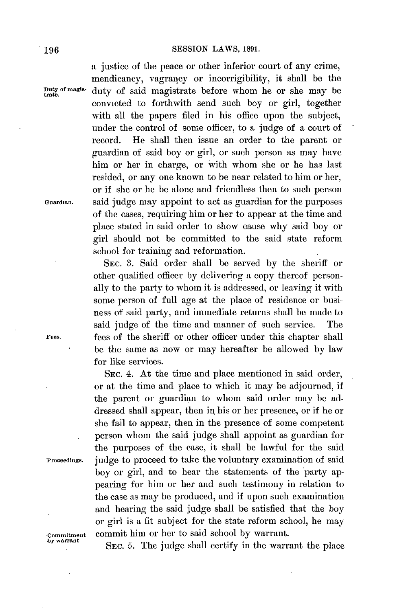# **196 SESSION** LAWS, **1891.**

a justice of the peace or other inferior court of any crime, mendicancy, vagrancy or incorrigibility, it shall be the <sup>r</sup>**uty omagis-duty** of said magistrate before whom he or she may be convicted to forthwith send such boy or girl, together with all the papers filed in his office upon the subject, under the control of some officer, to a judge of a court of record. He shall then issue an order to the parent or guardian of said boy or girl, or such person as may have him or her in charge, or with whom she or he has last resided, or any one known to be near related to him or her, or if she or he be alone and friendless then to such person **Guardian,** said judge may appoint to act as guardian for the purposes of the cases, requiring him or her to appear at the time and place stated in said order to show cause why said boy or girl should not **be** committed to the said state reform school for training and reformation.

SEC. **3.** Said order shall **be** served **by** the sheriff or other qualified officer **by** delivering a copy thereof personally to the party to whom it is addressed, or leaving it with some person of full age at the place of residence or business of said party, and immediate returns shall be made to said judge of the time and manner of such service. The Fees **fees** of the sheriff or other officer under this chapter shall be the same as now or may hereafter be allowed **by** law for like services.

SEC. 4. At the time and place mentioned in said order, or at the time and place to which it may be adjourned, if the parent or guardian to whom said order may be addressed shall appear, then in his or her presence, or if he or she fail to appear, then in the presence of some competent person whom the said judge shall appoint as guardian for the purposes of the case, it shall be lawful for the said **Proceedings.** judge to proceed to take the voluntary examination of said boy or girl, and to hear the statements of the party appearing for him or her and such testimony in relation to the case as may be produced, and if upon such examination and hearing the said judge shall be satisfied that the boy or girl is a fit subject for the state reform school, he may **commitment** commit him or her to said school **by** warrant.

SEC. 5. The judge shall certify in the warrant the place